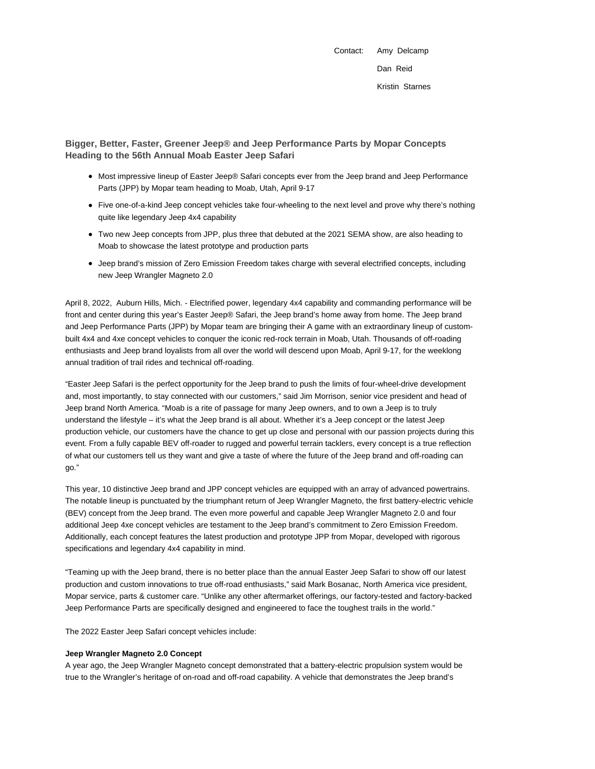Contact: Amy Delcamp Dan Reid Kristin Starnes

**Bigger, Better, Faster, Greener Jeep® and Jeep Performance Parts by Mopar Concepts Heading to the 56th Annual Moab Easter Jeep Safari**

- Most impressive lineup of Easter Jeep® Safari concepts ever from the Jeep brand and Jeep Performance Parts (JPP) by Mopar team heading to Moab, Utah, April 9-17
- Five one-of-a-kind Jeep concept vehicles take four-wheeling to the next level and prove why there's nothing quite like legendary Jeep 4x4 capability
- Two new Jeep concepts from JPP, plus three that debuted at the 2021 SEMA show, are also heading to Moab to showcase the latest prototype and production parts
- Jeep brand's mission of Zero Emission Freedom takes charge with several electrified concepts, including new Jeep Wrangler Magneto 2.0

April 8, 2022, Auburn Hills, Mich. - Electrified power, legendary 4x4 capability and commanding performance will be front and center during this year's Easter Jeep® Safari, the Jeep brand's home away from home. The Jeep brand and Jeep Performance Parts (JPP) by Mopar team are bringing their A game with an extraordinary lineup of custombuilt 4x4 and 4xe concept vehicles to conquer the iconic red-rock terrain in Moab, Utah. Thousands of off-roading enthusiasts and Jeep brand loyalists from all over the world will descend upon Moab, April 9-17, for the weeklong annual tradition of trail rides and technical off-roading.

"Easter Jeep Safari is the perfect opportunity for the Jeep brand to push the limits of four-wheel-drive development and, most importantly, to stay connected with our customers," said Jim Morrison, senior vice president and head of Jeep brand North America. "Moab is a rite of passage for many Jeep owners, and to own a Jeep is to truly understand the lifestyle – it's what the Jeep brand is all about. Whether it's a Jeep concept or the latest Jeep production vehicle, our customers have the chance to get up close and personal with our passion projects during this event. From a fully capable BEV off-roader to rugged and powerful terrain tacklers, every concept is a true reflection of what our customers tell us they want and give a taste of where the future of the Jeep brand and off-roading can go."

This year, 10 distinctive Jeep brand and JPP concept vehicles are equipped with an array of advanced powertrains. The notable lineup is punctuated by the triumphant return of Jeep Wrangler Magneto, the first battery-electric vehicle (BEV) concept from the Jeep brand. The even more powerful and capable Jeep Wrangler Magneto 2.0 and four additional Jeep 4xe concept vehicles are testament to the Jeep brand's commitment to Zero Emission Freedom. Additionally, each concept features the latest production and prototype JPP from Mopar, developed with rigorous specifications and legendary 4x4 capability in mind.

"Teaming up with the Jeep brand, there is no better place than the annual Easter Jeep Safari to show off our latest production and custom innovations to true off-road enthusiasts," said Mark Bosanac, North America vice president, Mopar service, parts & customer care. "Unlike any other aftermarket offerings, our factory-tested and factory-backed Jeep Performance Parts are specifically designed and engineered to face the toughest trails in the world."

The 2022 Easter Jeep Safari concept vehicles include:

#### **Jeep Wrangler Magneto 2.0 Concept**

A year ago, the Jeep Wrangler Magneto concept demonstrated that a battery-electric propulsion system would be true to the Wrangler's heritage of on-road and off-road capability. A vehicle that demonstrates the Jeep brand's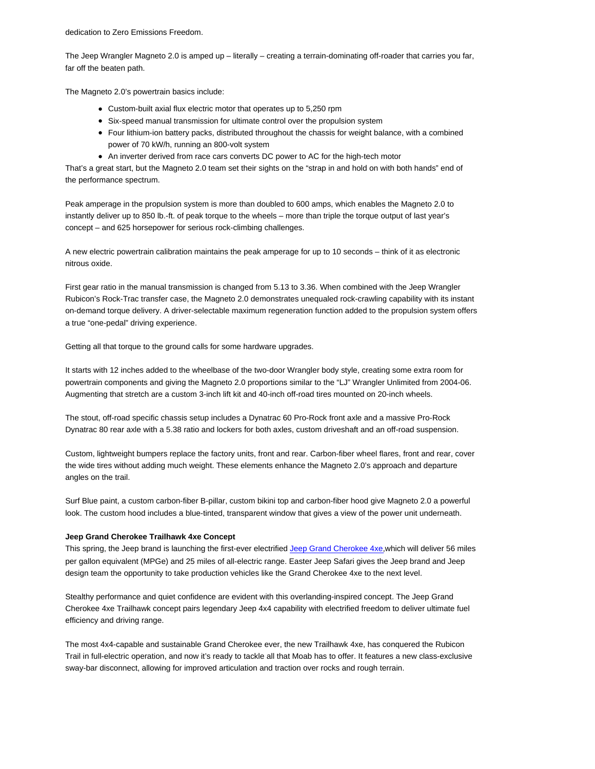dedication to Zero Emissions Freedom.

The Jeep Wrangler Magneto 2.0 is amped up – literally – creating a terrain-dominating off-roader that carries you far, far off the beaten path.

The Magneto 2.0's powertrain basics include:

- Custom-built axial flux electric motor that operates up to 5,250 rpm
- Six-speed manual transmission for ultimate control over the propulsion system
- Four lithium-ion battery packs, distributed throughout the chassis for weight balance, with a combined power of 70 kW/h, running an 800-volt system
- An inverter derived from race cars converts DC power to AC for the high-tech motor

That's a great start, but the Magneto 2.0 team set their sights on the "strap in and hold on with both hands" end of the performance spectrum.

Peak amperage in the propulsion system is more than doubled to 600 amps, which enables the Magneto 2.0 to instantly deliver up to 850 lb.-ft. of peak torque to the wheels – more than triple the torque output of last year's concept – and 625 horsepower for serious rock-climbing challenges.

A new electric powertrain calibration maintains the peak amperage for up to 10 seconds – think of it as electronic nitrous oxide.

First gear ratio in the manual transmission is changed from 5.13 to 3.36. When combined with the Jeep Wrangler Rubicon's Rock-Trac transfer case, the Magneto 2.0 demonstrates unequaled rock-crawling capability with its instant on-demand torque delivery. A driver-selectable maximum regeneration function added to the propulsion system offers a true "one-pedal" driving experience.

Getting all that torque to the ground calls for some hardware upgrades.

It starts with 12 inches added to the wheelbase of the two-door Wrangler body style, creating some extra room for powertrain components and giving the Magneto 2.0 proportions similar to the "LJ" Wrangler Unlimited from 2004-06. Augmenting that stretch are a custom 3-inch lift kit and 40-inch off-road tires mounted on 20-inch wheels.

The stout, off-road specific chassis setup includes a Dynatrac 60 Pro-Rock front axle and a massive Pro-Rock Dynatrac 80 rear axle with a 5.38 ratio and lockers for both axles, custom driveshaft and an off-road suspension.

Custom, lightweight bumpers replace the factory units, front and rear. Carbon-fiber wheel flares, front and rear, cover the wide tires without adding much weight. These elements enhance the Magneto 2.0's approach and departure angles on the trail.

Surf Blue paint, a custom carbon-fiber B-pillar, custom bikini top and carbon-fiber hood give Magneto 2.0 a powerful look. The custom hood includes a blue-tinted, transparent window that gives a view of the power unit underneath.

# **Jeep Grand Cherokee Trailhawk 4xe Concept**

This spring, the Jeep brand is launching the first-ever electrified Jeep Grand Cherokee 4xe,which will deliver 56 miles per gallon equivalent (MPGe) and 25 miles of all-electric range. Easter Jeep Safari gives the Jeep brand and Jeep design team the opportunity to take production vehicles like the Grand Cherokee 4xe to the next level.

Stealthy performance and quiet confidence are evident with this overlanding-inspired concept. The Jeep Grand Cherokee 4xe Trailhawk concept pairs legendary Jeep 4x4 capability with electrified freedom to deliver ultimate fuel efficiency and driving range.

The most 4x4-capable and sustainable Grand Cherokee ever, the new Trailhawk 4xe, has conquered the Rubicon Trail in full-electric operation, and now it's ready to tackle all that Moab has to offer. It features a new class-exclusive sway-bar disconnect, allowing for improved articulation and traction over rocks and rough terrain.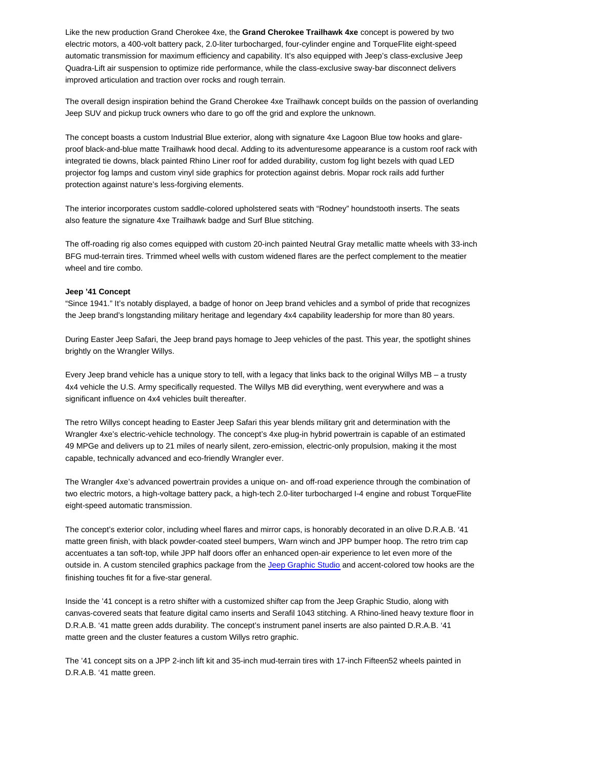Like the new production Grand Cherokee 4xe, the **Grand Cherokee Trailhawk 4xe** concept is powered by two electric motors, a 400-volt battery pack, 2.0-liter turbocharged, four-cylinder engine and TorqueFlite eight-speed automatic transmission for maximum efficiency and capability. It's also equipped with Jeep's class-exclusive Jeep Quadra-Lift air suspension to optimize ride performance, while the class-exclusive sway-bar disconnect delivers improved articulation and traction over rocks and rough terrain.

The overall design inspiration behind the Grand Cherokee 4xe Trailhawk concept builds on the passion of overlanding Jeep SUV and pickup truck owners who dare to go off the grid and explore the unknown.

The concept boasts a custom Industrial Blue exterior, along with signature 4xe Lagoon Blue tow hooks and glareproof black-and-blue matte Trailhawk hood decal. Adding to its adventuresome appearance is a custom roof rack with integrated tie downs, black painted Rhino Liner roof for added durability, custom fog light bezels with quad LED projector fog lamps and custom vinyl side graphics for protection against debris. Mopar rock rails add further protection against nature's less-forgiving elements.

The interior incorporates custom saddle-colored upholstered seats with "Rodney" houndstooth inserts. The seats also feature the signature 4xe Trailhawk badge and Surf Blue stitching.

The off-roading rig also comes equipped with custom 20-inch painted Neutral Gray metallic matte wheels with 33-inch BFG mud-terrain tires. Trimmed wheel wells with custom widened flares are the perfect complement to the meatier wheel and tire combo.

## **Jeep '41 Concept**

"Since 1941." It's notably displayed, a badge of honor on Jeep brand vehicles and a symbol of pride that recognizes the Jeep brand's longstanding military heritage and legendary 4x4 capability leadership for more than 80 years.

During Easter Jeep Safari, the Jeep brand pays homage to Jeep vehicles of the past. This year, the spotlight shines brightly on the Wrangler Willys.

Every Jeep brand vehicle has a unique story to tell, with a legacy that links back to the original Willys MB – a trusty 4x4 vehicle the U.S. Army specifically requested. The Willys MB did everything, went everywhere and was a significant influence on 4x4 vehicles built thereafter.

The retro Willys concept heading to Easter Jeep Safari this year blends military grit and determination with the Wrangler 4xe's electric-vehicle technology. The concept's 4xe plug-in hybrid powertrain is capable of an estimated 49 MPGe and delivers up to 21 miles of nearly silent, zero-emission, electric-only propulsion, making it the most capable, technically advanced and eco-friendly Wrangler ever.

The Wrangler 4xe's advanced powertrain provides a unique on- and off-road experience through the combination of two electric motors, a high-voltage battery pack, a high-tech 2.0-liter turbocharged I-4 engine and robust TorqueFlite eight-speed automatic transmission.

The concept's exterior color, including wheel flares and mirror caps, is honorably decorated in an olive D.R.A.B. '41 matte green finish, with black powder-coated steel bumpers, Warn winch and JPP bumper hoop. The retro trim cap accentuates a tan soft-top, while JPP half doors offer an enhanced open-air experience to let even more of the outside in. A custom stenciled graphics package from the Jeep Graphic Studio and accent-colored tow hooks are the finishing touches fit for a five-star general.

Inside the '41 concept is a retro shifter with a customized shifter cap from the Jeep Graphic Studio, along with canvas-covered seats that feature digital camo inserts and Serafil 1043 stitching. A Rhino-lined heavy texture floor in D.R.A.B. '41 matte green adds durability. The concept's instrument panel inserts are also painted D.R.A.B. '41 matte green and the cluster features a custom Willys retro graphic.

The '41 concept sits on a JPP 2-inch lift kit and 35-inch mud-terrain tires with 17-inch Fifteen52 wheels painted in D.R.A.B. '41 matte green.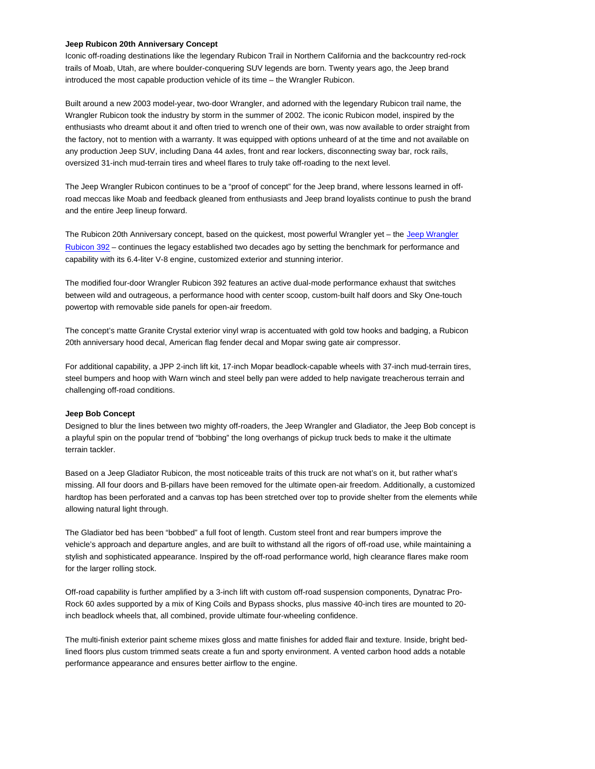### **Jeep Rubicon 20th Anniversary Concept**

Iconic off-roading destinations like the legendary Rubicon Trail in Northern California and the backcountry red-rock trails of Moab, Utah, are where boulder-conquering SUV legends are born. Twenty years ago, the Jeep brand introduced the most capable production vehicle of its time – the Wrangler Rubicon.

Built around a new 2003 model-year, two-door Wrangler, and adorned with the legendary Rubicon trail name, the Wrangler Rubicon took the industry by storm in the summer of 2002. The iconic Rubicon model, inspired by the enthusiasts who dreamt about it and often tried to wrench one of their own, was now available to order straight from the factory, not to mention with a warranty. It was equipped with options unheard of at the time and not available on any production Jeep SUV, including Dana 44 axles, front and rear lockers, disconnecting sway bar, rock rails, oversized 31-inch mud-terrain tires and wheel flares to truly take off-roading to the next level.

The Jeep Wrangler Rubicon continues to be a "proof of concept" for the Jeep brand, where lessons learned in offroad meccas like Moab and feedback gleaned from enthusiasts and Jeep brand loyalists continue to push the brand and the entire Jeep lineup forward.

The Rubicon 20th Anniversary concept, based on the quickest, most powerful Wrangler yet - the Jeep Wrangler Rubicon 392 – continues the legacy established two decades ago by setting the benchmark for performance and capability with its 6.4-liter V-8 engine, customized exterior and stunning interior.

The modified four-door Wrangler Rubicon 392 features an active dual-mode performance exhaust that switches between wild and outrageous, a performance hood with center scoop, custom-built half doors and Sky One-touch powertop with removable side panels for open-air freedom.

The concept's matte Granite Crystal exterior vinyl wrap is accentuated with gold tow hooks and badging, a Rubicon 20th anniversary hood decal, American flag fender decal and Mopar swing gate air compressor.

For additional capability, a JPP 2-inch lift kit, 17-inch Mopar beadlock-capable wheels with 37-inch mud-terrain tires, steel bumpers and hoop with Warn winch and steel belly pan were added to help navigate treacherous terrain and challenging off-road conditions.

#### **Jeep Bob Concept**

Designed to blur the lines between two mighty off-roaders, the Jeep Wrangler and Gladiator, the Jeep Bob concept is a playful spin on the popular trend of "bobbing" the long overhangs of pickup truck beds to make it the ultimate terrain tackler.

Based on a Jeep Gladiator Rubicon, the most noticeable traits of this truck are not what's on it, but rather what's missing. All four doors and B-pillars have been removed for the ultimate open-air freedom. Additionally, a customized hardtop has been perforated and a canvas top has been stretched over top to provide shelter from the elements while allowing natural light through.

The Gladiator bed has been "bobbed" a full foot of length. Custom steel front and rear bumpers improve the vehicle's approach and departure angles, and are built to withstand all the rigors of off-road use, while maintaining a stylish and sophisticated appearance. Inspired by the off-road performance world, high clearance flares make room for the larger rolling stock.

Off-road capability is further amplified by a 3-inch lift with custom off-road suspension components, Dynatrac Pro-Rock 60 axles supported by a mix of King Coils and Bypass shocks, plus massive 40-inch tires are mounted to 20 inch beadlock wheels that, all combined, provide ultimate four-wheeling confidence.

The multi-finish exterior paint scheme mixes gloss and matte finishes for added flair and texture. Inside, bright bedlined floors plus custom trimmed seats create a fun and sporty environment. A vented carbon hood adds a notable performance appearance and ensures better airflow to the engine.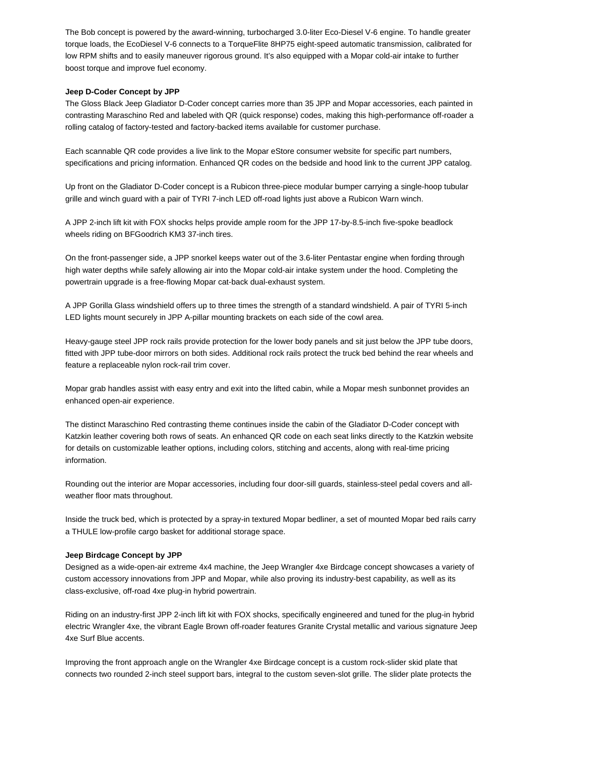The Bob concept is powered by the award-winning, turbocharged 3.0-liter Eco-Diesel V-6 engine. To handle greater torque loads, the EcoDiesel V-6 connects to a TorqueFlite 8HP75 eight-speed automatic transmission, calibrated for low RPM shifts and to easily maneuver rigorous ground. It's also equipped with a Mopar cold-air intake to further boost torque and improve fuel economy.

# **Jeep D-Coder Concept by JPP**

The Gloss Black Jeep Gladiator D-Coder concept carries more than 35 JPP and Mopar accessories, each painted in contrasting Maraschino Red and labeled with QR (quick response) codes, making this high-performance off-roader a rolling catalog of factory-tested and factory-backed items available for customer purchase.

Each scannable QR code provides a live link to the Mopar eStore consumer website for specific part numbers, specifications and pricing information. Enhanced QR codes on the bedside and hood link to the current JPP catalog.

Up front on the Gladiator D-Coder concept is a Rubicon three-piece modular bumper carrying a single-hoop tubular grille and winch guard with a pair of TYRI 7-inch LED off-road lights just above a Rubicon Warn winch.

A JPP 2-inch lift kit with FOX shocks helps provide ample room for the JPP 17-by-8.5-inch five-spoke beadlock wheels riding on BFGoodrich KM3 37-inch tires.

On the front-passenger side, a JPP snorkel keeps water out of the 3.6-liter Pentastar engine when fording through high water depths while safely allowing air into the Mopar cold-air intake system under the hood. Completing the powertrain upgrade is a free-flowing Mopar cat-back dual-exhaust system.

A JPP Gorilla Glass windshield offers up to three times the strength of a standard windshield. A pair of TYRI 5-inch LED lights mount securely in JPP A-pillar mounting brackets on each side of the cowl area.

Heavy-gauge steel JPP rock rails provide protection for the lower body panels and sit just below the JPP tube doors, fitted with JPP tube-door mirrors on both sides. Additional rock rails protect the truck bed behind the rear wheels and feature a replaceable nylon rock-rail trim cover.

Mopar grab handles assist with easy entry and exit into the lifted cabin, while a Mopar mesh sunbonnet provides an enhanced open-air experience.

The distinct Maraschino Red contrasting theme continues inside the cabin of the Gladiator D-Coder concept with Katzkin leather covering both rows of seats. An enhanced QR code on each seat links directly to the Katzkin website for details on customizable leather options, including colors, stitching and accents, along with real-time pricing information.

Rounding out the interior are Mopar accessories, including four door-sill guards, stainless-steel pedal covers and allweather floor mats throughout.

Inside the truck bed, which is protected by a spray-in textured Mopar bedliner, a set of mounted Mopar bed rails carry a THULE low-profile cargo basket for additional storage space.

#### **Jeep Birdcage Concept by JPP**

Designed as a wide-open-air extreme 4x4 machine, the Jeep Wrangler 4xe Birdcage concept showcases a variety of custom accessory innovations from JPP and Mopar, while also proving its industry-best capability, as well as its class-exclusive, off-road 4xe plug-in hybrid powertrain.

Riding on an industry-first JPP 2-inch lift kit with FOX shocks, specifically engineered and tuned for the plug-in hybrid electric Wrangler 4xe, the vibrant Eagle Brown off-roader features Granite Crystal metallic and various signature Jeep 4xe Surf Blue accents.

Improving the front approach angle on the Wrangler 4xe Birdcage concept is a custom rock-slider skid plate that connects two rounded 2-inch steel support bars, integral to the custom seven-slot grille. The slider plate protects the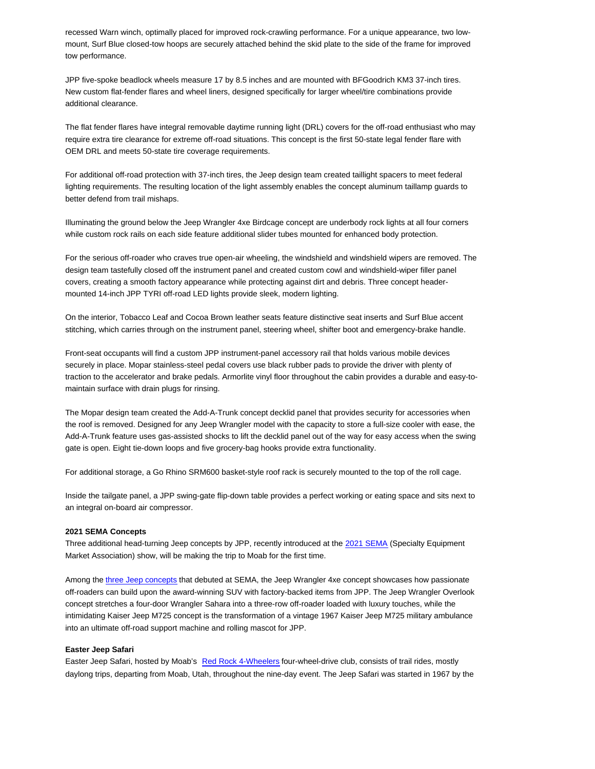recessed Warn winch, optimally placed for improved rock-crawling performance. For a unique appearance, two lowmount, Surf Blue closed-tow hoops are securely attached behind the skid plate to the side of the frame for improved tow performance.

JPP five-spoke beadlock wheels measure 17 by 8.5 inches and are mounted with BFGoodrich KM3 37-inch tires. New custom flat-fender flares and wheel liners, designed specifically for larger wheel/tire combinations provide additional clearance.

The flat fender flares have integral removable daytime running light (DRL) covers for the off-road enthusiast who may require extra tire clearance for extreme off-road situations. This concept is the first 50-state legal fender flare with OEM DRL and meets 50-state tire coverage requirements.

For additional off-road protection with 37-inch tires, the Jeep design team created taillight spacers to meet federal lighting requirements. The resulting location of the light assembly enables the concept aluminum taillamp guards to better defend from trail mishaps.

Illuminating the ground below the Jeep Wrangler 4xe Birdcage concept are underbody rock lights at all four corners while custom rock rails on each side feature additional slider tubes mounted for enhanced body protection.

For the serious off-roader who craves true open-air wheeling, the windshield and windshield wipers are removed. The design team tastefully closed off the instrument panel and created custom cowl and windshield-wiper filler panel covers, creating a smooth factory appearance while protecting against dirt and debris. Three concept headermounted 14-inch JPP TYRI off-road LED lights provide sleek, modern lighting.

On the interior, Tobacco Leaf and Cocoa Brown leather seats feature distinctive seat inserts and Surf Blue accent stitching, which carries through on the instrument panel, steering wheel, shifter boot and emergency-brake handle.

Front-seat occupants will find a custom JPP instrument-panel accessory rail that holds various mobile devices securely in place. Mopar stainless-steel pedal covers use black rubber pads to provide the driver with plenty of traction to the accelerator and brake pedals. Armorlite vinyl floor throughout the cabin provides a durable and easy-tomaintain surface with drain plugs for rinsing.

The Mopar design team created the Add-A-Trunk concept decklid panel that provides security for accessories when the roof is removed. Designed for any Jeep Wrangler model with the capacity to store a full-size cooler with ease, the Add-A-Trunk feature uses gas-assisted shocks to lift the decklid panel out of the way for easy access when the swing gate is open. Eight tie-down loops and five grocery-bag hooks provide extra functionality.

For additional storage, a Go Rhino SRM600 basket-style roof rack is securely mounted to the top of the roll cage.

Inside the tailgate panel, a JPP swing-gate flip-down table provides a perfect working or eating space and sits next to an integral on-board air compressor.

#### **2021 SEMA Concepts**

Three additional head-turning Jeep concepts by JPP, recently introduced at the 2021 SEMA (Specialty Equipment Market Association) show, will be making the trip to Moab for the first time.

Among the three Jeep concepts that debuted at SEMA, the Jeep Wrangler 4xe concept showcases how passionate off-roaders can build upon the award-winning SUV with factory-backed items from JPP. The Jeep Wrangler Overlook concept stretches a four-door Wrangler Sahara into a three-row off-roader loaded with luxury touches, while the intimidating Kaiser Jeep M725 concept is the transformation of a vintage 1967 Kaiser Jeep M725 military ambulance into an ultimate off-road support machine and rolling mascot for JPP.

## **Easter Jeep Safari**

Easter Jeep Safari, hosted by Moab's Red Rock 4-Wheelers four-wheel-drive club, consists of trail rides, mostly daylong trips, departing from Moab, Utah, throughout the nine-day event. The Jeep Safari was started in 1967 by the